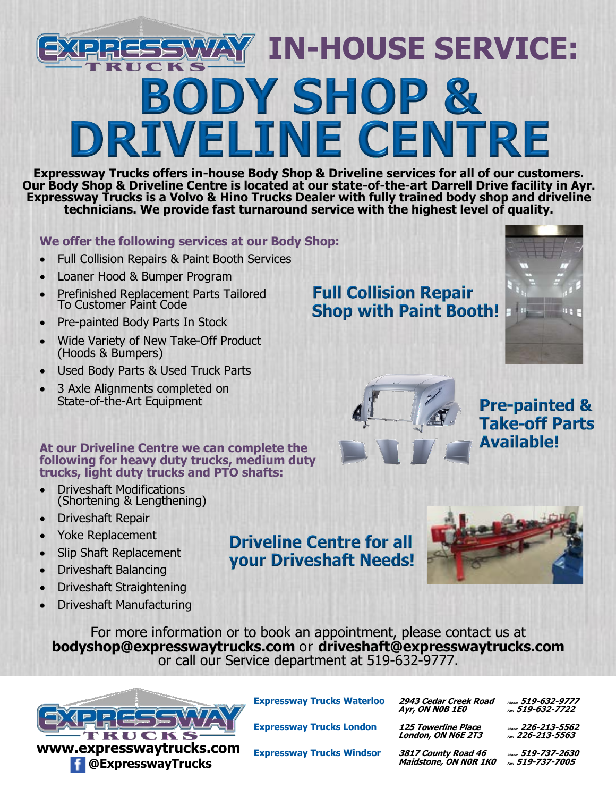# **IN-HOUSE SERVICE:BODY SHOP & DRIVELINE CENTRE**

**Expressway Trucks offers in-house Body Shop & Driveline services for all of our customers. Our Body Shop & Driveline Centre is located at our state-of-the-art Darrell Drive facility in Ayr. Expressway Trucks is a Volvo & Hino Trucks Dealer with fully trained body shop and driveline technicians. We provide fast turnaround service with the highest level of quality.**

#### **We offer the following services at our Body Shop:**

- Full Collision Repairs & Paint Booth Services
- Loaner Hood & Bumper Program
- Prefinished Replacement Parts Tailored To Customer Paint Code
- Pre-painted Body Parts In Stock
- Wide Variety of New Take-Off Product (Hoods & Bumpers)
- Used Body Parts & Used Truck Parts
- 3 Axle Alignments completed on State-of-the-Art Equipment

### **Full Collision Repair Shop with Paint Booth!**





**Pre-painted & Take-off Parts Available!** 

#### **At our Driveline Centre we can complete the following for heavy duty trucks, medium duty trucks, light duty trucks and PTO shafts:**

- Driveshaft Modifications (Shortening & Lengthening)
- Driveshaft Repair
- Yoke Replacement
- Slip Shaft Replacement
- Driveshaft Balancing
- Driveshaft Straightening
- Driveshaft Manufacturing

For more information or to book an appointment, please contact us at **bodyshop@expresswaytrucks.com** or **driveshaft@expresswaytrucks.com** or call our Service department at 519-632-9777.

**Driveline Centre for all** your Driveshaft Needs!



**www.expresswaytrucks.com @ExpresswayTrucks**

**Expressway Trucks London 125 Towerline Place Phone: 226-213-<sup>5562</sup>**

**Expressway Trucks Waterloo 2943 Cedar Creek Road Phone: 519-632-<sup>9777</sup> Ayr, ON N0B 1E0 Fax: 519-632-7722**

 **London, ON N6E 2T3 Fax: 226-213-5563**

**Expressway Trucks Windsor 3817 County Road 46 Phone: 519-737-<sup>2630</sup>** *Maidstone, ON NOR 1K0*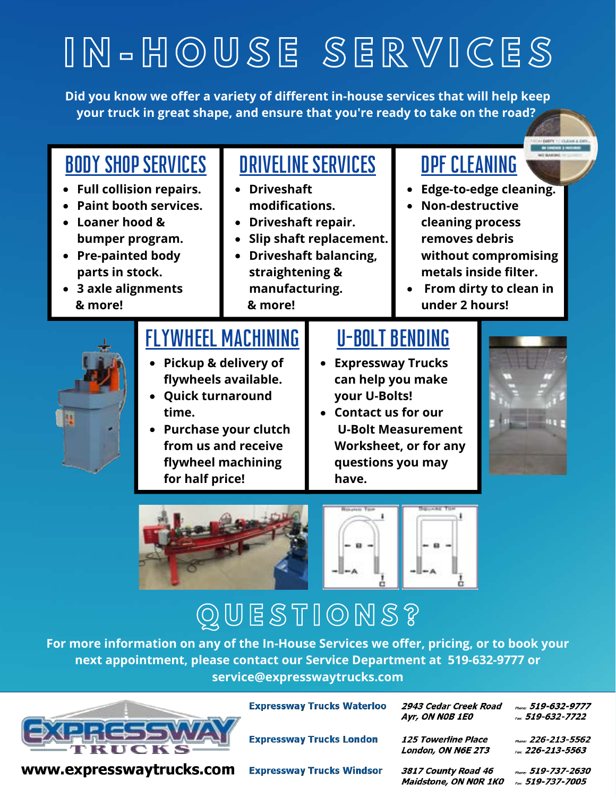# **I N - H O U S E S E R V I C E S**

**Did you know we offer a variety of different in-house services that will help keep your truck in great shape, and ensure that you're ready to take on the road?**



## **Q U E S T I O N S ?**

**For more information on any of the In-House Services we offer, pricing, or to book your next appointment, please contact our Service Department at 519-632-9777 or service@expresswaytrucks.com**



**Expressway Trucks Waterloo** 

**Expressway Trucks London** 

2943 Cedar Creek Road Ayr, ON NOB 1E0

Phone: 519-632-9777 Fax: 519-632-7722

www.expresswaytrucks.com

**Expressway Trucks Windsor** 

3817 County Road 46 Maidstone, ON NOR 1KO

**125 Towerline Place** London, ON N6E 2T3

> Phone: 519-737-2630 Fax: 519-737-7005

> Phone: 226-213-5562

Fax: 226-213-5563